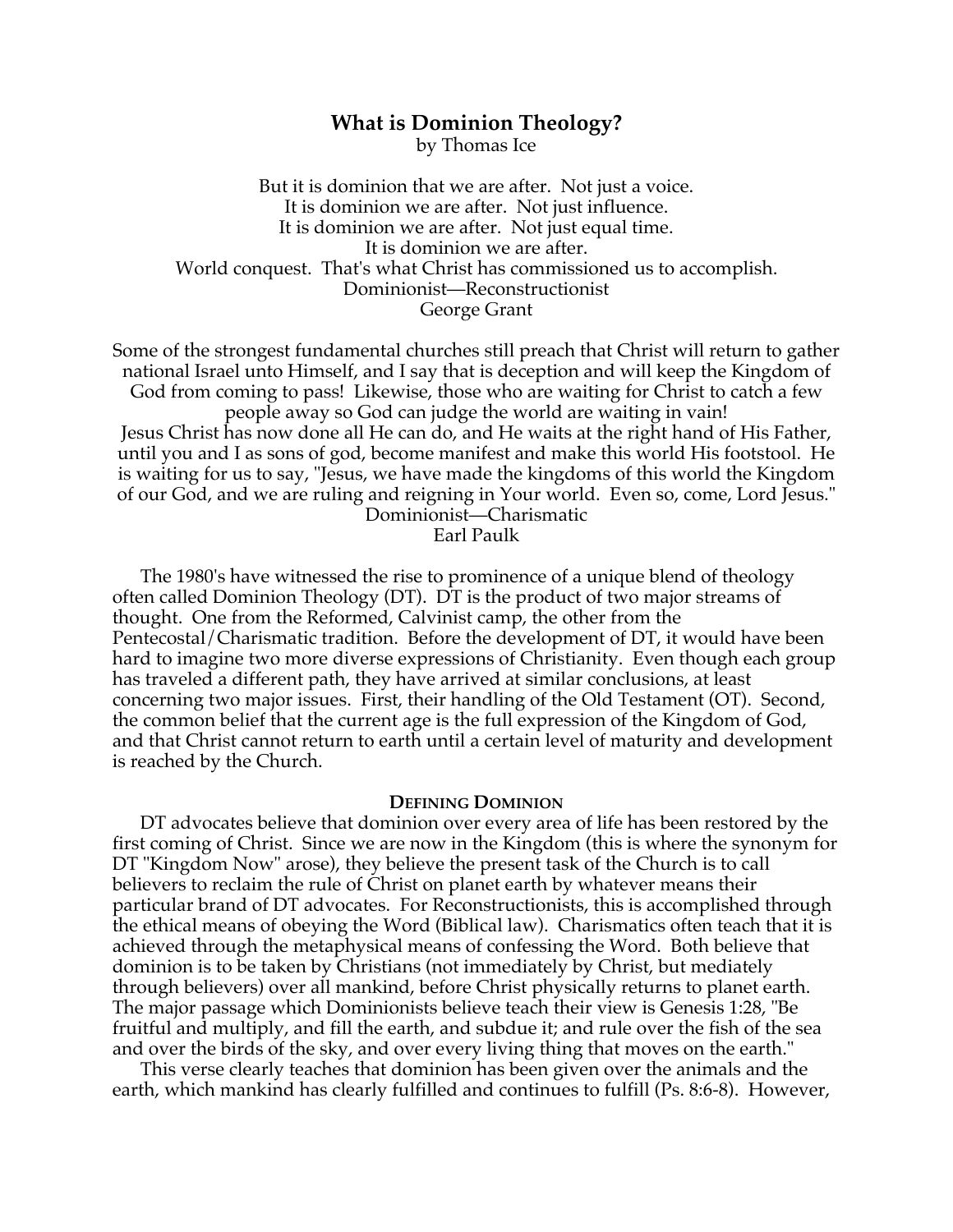# **What is Dominion Theology?**

by Thomas Ice

But it is dominion that we are after. Not just a voice. It is dominion we are after. Not just influence. It is dominion we are after. Not just equal time. It is dominion we are after. World conquest. That's what Christ has commissioned us to accomplish. Dominionist—Reconstructionist George Grant

Some of the strongest fundamental churches still preach that Christ will return to gather national Israel unto Himself, and I say that is deception and will keep the Kingdom of God from coming to pass! Likewise, those who are waiting for Christ to catch a few people away so God can judge the world are waiting in vain! Jesus Christ has now done all He can do, and He waits at the right hand of His Father, until you and I as sons of god, become manifest and make this world His footstool. He is waiting for us to say, "Jesus, we have made the kingdoms of this world the Kingdom of our God, and we are ruling and reigning in Your world. Even so, come, Lord Jesus." Dominionist—Charismatic

Earl Paulk

The 1980's have witnessed the rise to prominence of a unique blend of theology often called Dominion Theology (DT). DT is the product of two major streams of thought. One from the Reformed, Calvinist camp, the other from the Pentecostal/Charismatic tradition. Before the development of DT, it would have been hard to imagine two more diverse expressions of Christianity. Even though each group has traveled a different path, they have arrived at similar conclusions, at least concerning two major issues. First, their handling of the Old Testament (OT). Second, the common belief that the current age is the full expression of the Kingdom of God, and that Christ cannot return to earth until a certain level of maturity and development is reached by the Church.

### **DEFINING DOMINION**

DT advocates believe that dominion over every area of life has been restored by the first coming of Christ. Since we are now in the Kingdom (this is where the synonym for DT "Kingdom Now" arose), they believe the present task of the Church is to call believers to reclaim the rule of Christ on planet earth by whatever means their particular brand of DT advocates. For Reconstructionists, this is accomplished through the ethical means of obeying the Word (Biblical law). Charismatics often teach that it is achieved through the metaphysical means of confessing the Word. Both believe that dominion is to be taken by Christians (not immediately by Christ, but mediately through believers) over all mankind, before Christ physically returns to planet earth. The major passage which Dominionists believe teach their view is Genesis 1:28, "Be fruitful and multiply, and fill the earth, and subdue it; and rule over the fish of the sea and over the birds of the sky, and over every living thing that moves on the earth."

This verse clearly teaches that dominion has been given over the animals and the earth, which mankind has clearly fulfilled and continues to fulfill (Ps. 8:6-8). However,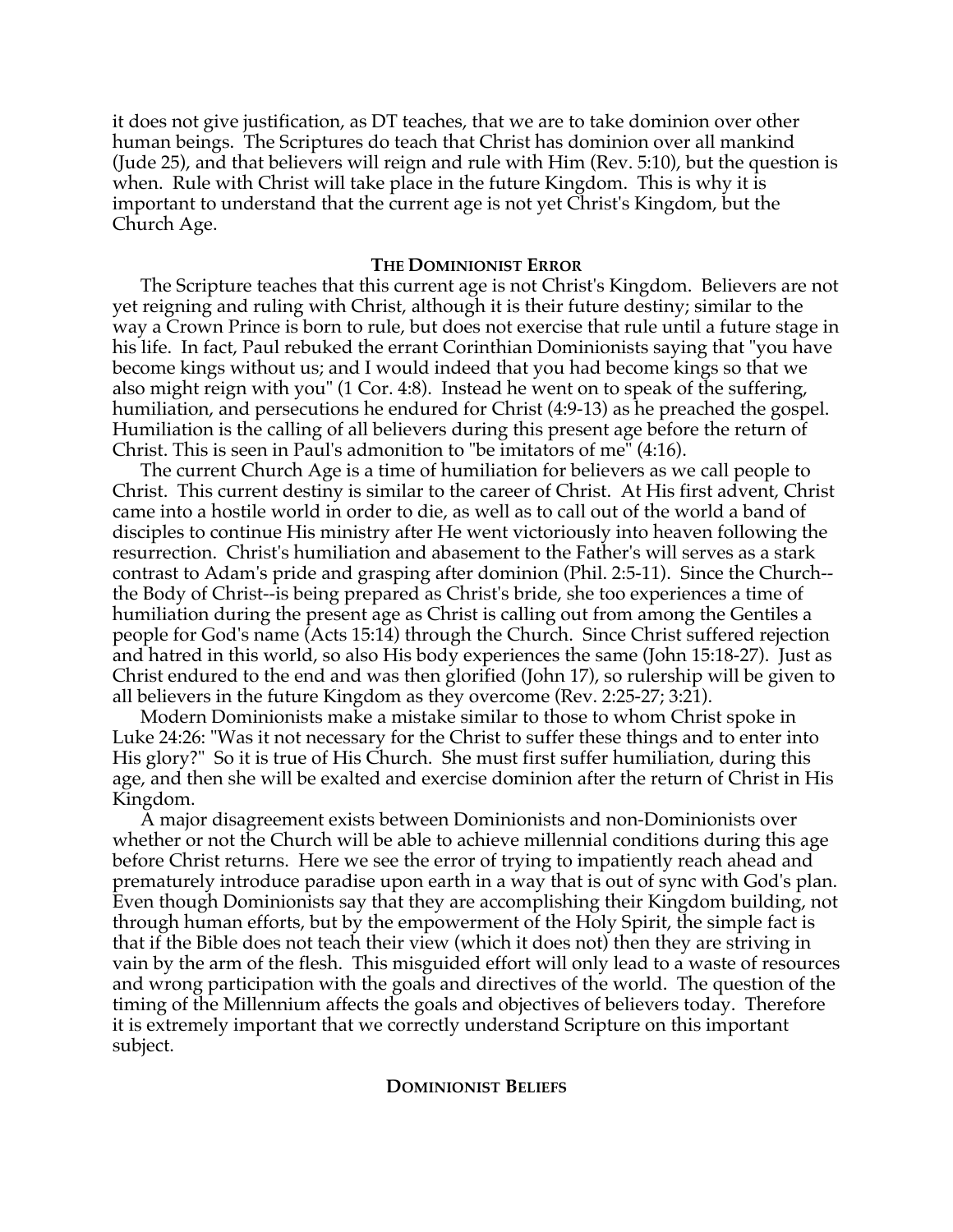it does not give justification, as DT teaches, that we are to take dominion over other human beings. The Scriptures do teach that Christ has dominion over all mankind (Jude 25), and that believers will reign and rule with Him (Rev. 5:10), but the question is when. Rule with Christ will take place in the future Kingdom. This is why it is important to understand that the current age is not yet Christ's Kingdom, but the Church Age.

# **THE DOMINIONIST ERROR**

The Scripture teaches that this current age is not Christ's Kingdom. Believers are not yet reigning and ruling with Christ, although it is their future destiny; similar to the way a Crown Prince is born to rule, but does not exercise that rule until a future stage in his life. In fact, Paul rebuked the errant Corinthian Dominionists saying that "you have become kings without us; and I would indeed that you had become kings so that we also might reign with you" (1 Cor. 4:8). Instead he went on to speak of the suffering, humiliation, and persecutions he endured for Christ (4:9-13) as he preached the gospel. Humiliation is the calling of all believers during this present age before the return of Christ. This is seen in Paul's admonition to "be imitators of me" (4:16).

The current Church Age is a time of humiliation for believers as we call people to Christ. This current destiny is similar to the career of Christ. At His first advent, Christ came into a hostile world in order to die, as well as to call out of the world a band of disciples to continue His ministry after He went victoriously into heaven following the resurrection. Christ's humiliation and abasement to the Father's will serves as a stark contrast to Adam's pride and grasping after dominion (Phil. 2:5-11). Since the Church- the Body of Christ--is being prepared as Christ's bride, she too experiences a time of humiliation during the present age as Christ is calling out from among the Gentiles a people for God's name (Acts 15:14) through the Church. Since Christ suffered rejection and hatred in this world, so also His body experiences the same (John 15:18-27). Just as Christ endured to the end and was then glorified (John 17), so rulership will be given to all believers in the future Kingdom as they overcome (Rev. 2:25-27; 3:21).

Modern Dominionists make a mistake similar to those to whom Christ spoke in Luke 24:26: "Was it not necessary for the Christ to suffer these things and to enter into His glory?" So it is true of His Church. She must first suffer humiliation, during this age, and then she will be exalted and exercise dominion after the return of Christ in His Kingdom.

A major disagreement exists between Dominionists and non-Dominionists over whether or not the Church will be able to achieve millennial conditions during this age before Christ returns. Here we see the error of trying to impatiently reach ahead and prematurely introduce paradise upon earth in a way that is out of sync with God's plan. Even though Dominionists say that they are accomplishing their Kingdom building, not through human efforts, but by the empowerment of the Holy Spirit, the simple fact is that if the Bible does not teach their view (which it does not) then they are striving in vain by the arm of the flesh. This misguided effort will only lead to a waste of resources and wrong participation with the goals and directives of the world. The question of the timing of the Millennium affects the goals and objectives of believers today. Therefore it is extremely important that we correctly understand Scripture on this important subject.

### **DOMINIONIST BELIEFS**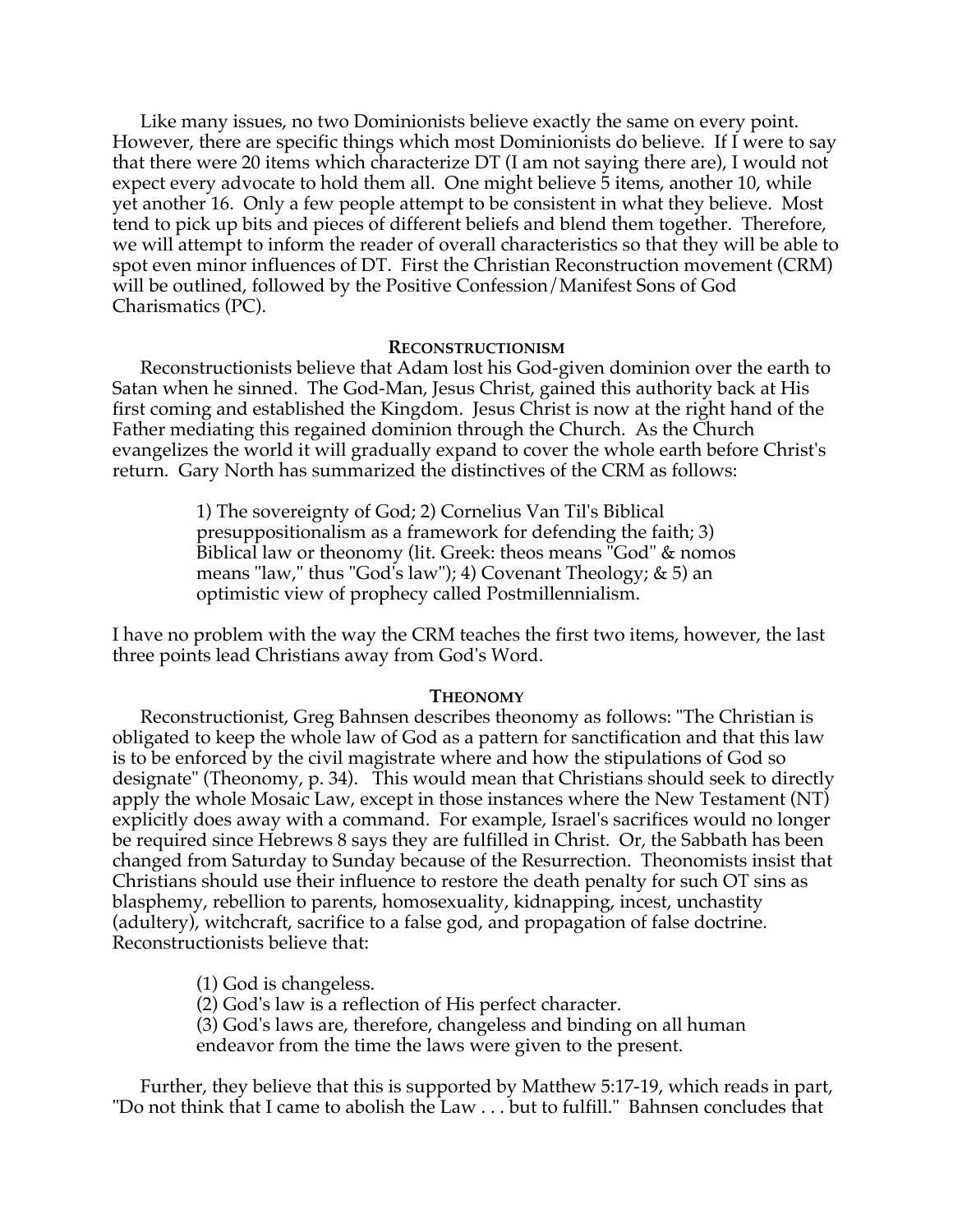Like many issues, no two Dominionists believe exactly the same on every point. However, there are specific things which most Dominionists do believe. If I were to say that there were 20 items which characterize DT (I am not saying there are), I would not expect every advocate to hold them all. One might believe 5 items, another 10, while yet another 16. Only a few people attempt to be consistent in what they believe. Most tend to pick up bits and pieces of different beliefs and blend them together. Therefore, we will attempt to inform the reader of overall characteristics so that they will be able to spot even minor influences of DT. First the Christian Reconstruction movement (CRM) will be outlined, followed by the Positive Confession/Manifest Sons of God Charismatics (PC).

### **RECONSTRUCTIONISM**

Reconstructionists believe that Adam lost his God-given dominion over the earth to Satan when he sinned. The God-Man, Jesus Christ, gained this authority back at His first coming and established the Kingdom. Jesus Christ is now at the right hand of the Father mediating this regained dominion through the Church. As the Church evangelizes the world it will gradually expand to cover the whole earth before Christ's return. Gary North has summarized the distinctives of the CRM as follows:

> 1) The sovereignty of God; 2) Cornelius Van Til's Biblical presuppositionalism as a framework for defending the faith; 3) Biblical law or theonomy (lit. Greek: theos means "God" & nomos means "law," thus "God's law"); 4) Covenant Theology; & 5) an optimistic view of prophecy called Postmillennialism.

I have no problem with the way the CRM teaches the first two items, however, the last three points lead Christians away from God's Word.

### **THEONOMY**

Reconstructionist, Greg Bahnsen describes theonomy as follows: "The Christian is obligated to keep the whole law of God as a pattern for sanctification and that this law is to be enforced by the civil magistrate where and how the stipulations of God so designate" (Theonomy, p. 34). This would mean that Christians should seek to directly apply the whole Mosaic Law, except in those instances where the New Testament (NT) explicitly does away with a command. For example, Israel's sacrifices would no longer be required since Hebrews 8 says they are fulfilled in Christ. Or, the Sabbath has been changed from Saturday to Sunday because of the Resurrection. Theonomists insist that Christians should use their influence to restore the death penalty for such OT sins as blasphemy, rebellion to parents, homosexuality, kidnapping, incest, unchastity (adultery), witchcraft, sacrifice to a false god, and propagation of false doctrine. Reconstructionists believe that:

(1) God is changeless.

(2) God's law is a reflection of His perfect character.

(3) God's laws are, therefore, changeless and binding on all human endeavor from the time the laws were given to the present.

Further, they believe that this is supported by Matthew 5:17-19, which reads in part, "Do not think that I came to abolish the Law . . . but to fulfill." Bahnsen concludes that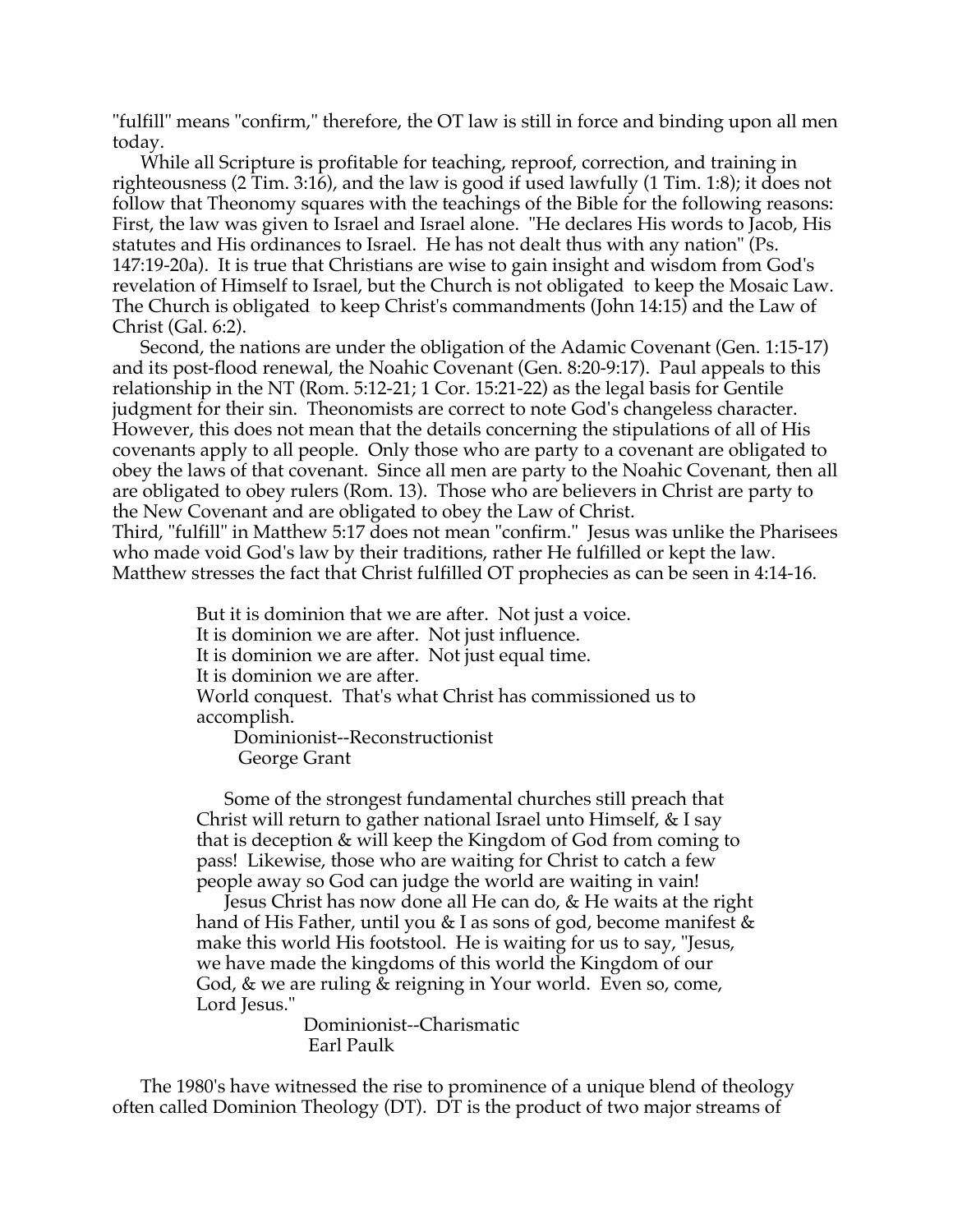"fulfill" means "confirm," therefore, the OT law is still in force and binding upon all men today.

While all Scripture is profitable for teaching, reproof, correction, and training in righteousness (2 Tim. 3:16), and the law is good if used lawfully (1 Tim. 1:8); it does not follow that Theonomy squares with the teachings of the Bible for the following reasons: First, the law was given to Israel and Israel alone. "He declares His words to Jacob, His statutes and His ordinances to Israel. He has not dealt thus with any nation" (Ps. 147:19-20a). It is true that Christians are wise to gain insight and wisdom from God's revelation of Himself to Israel, but the Church is not obligated to keep the Mosaic Law. The Church is obligated to keep Christ's commandments (John 14:15) and the Law of Christ (Gal. 6:2).

Second, the nations are under the obligation of the Adamic Covenant (Gen. 1:15-17) and its post-flood renewal, the Noahic Covenant (Gen. 8:20-9:17). Paul appeals to this relationship in the NT (Rom. 5:12-21; 1 Cor. 15:21-22) as the legal basis for Gentile judgment for their sin. Theonomists are correct to note God's changeless character. However, this does not mean that the details concerning the stipulations of all of His covenants apply to all people. Only those who are party to a covenant are obligated to obey the laws of that covenant. Since all men are party to the Noahic Covenant, then all are obligated to obey rulers (Rom. 13). Those who are believers in Christ are party to the New Covenant and are obligated to obey the Law of Christ.

Third, "fulfill" in Matthew 5:17 does not mean "confirm." Jesus was unlike the Pharisees who made void God's law by their traditions, rather He fulfilled or kept the law. Matthew stresses the fact that Christ fulfilled OT prophecies as can be seen in 4:14-16.

> But it is dominion that we are after. Not just a voice. It is dominion we are after. Not just influence. It is dominion we are after. Not just equal time. It is dominion we are after. World conquest. That's what Christ has commissioned us to accomplish.

 Dominionist--Reconstructionist George Grant

Some of the strongest fundamental churches still preach that Christ will return to gather national Israel unto Himself, & I say that is deception & will keep the Kingdom of God from coming to pass! Likewise, those who are waiting for Christ to catch a few people away so God can judge the world are waiting in vain!

Jesus Christ has now done all He can do, & He waits at the right hand of His Father, until you & I as sons of god, become manifest & make this world His footstool. He is waiting for us to say, "Jesus, we have made the kingdoms of this world the Kingdom of our God, & we are ruling & reigning in Your world. Even so, come, Lord Jesus."

> Dominionist--Charismatic Earl Paulk

The 1980's have witnessed the rise to prominence of a unique blend of theology often called Dominion Theology (DT). DT is the product of two major streams of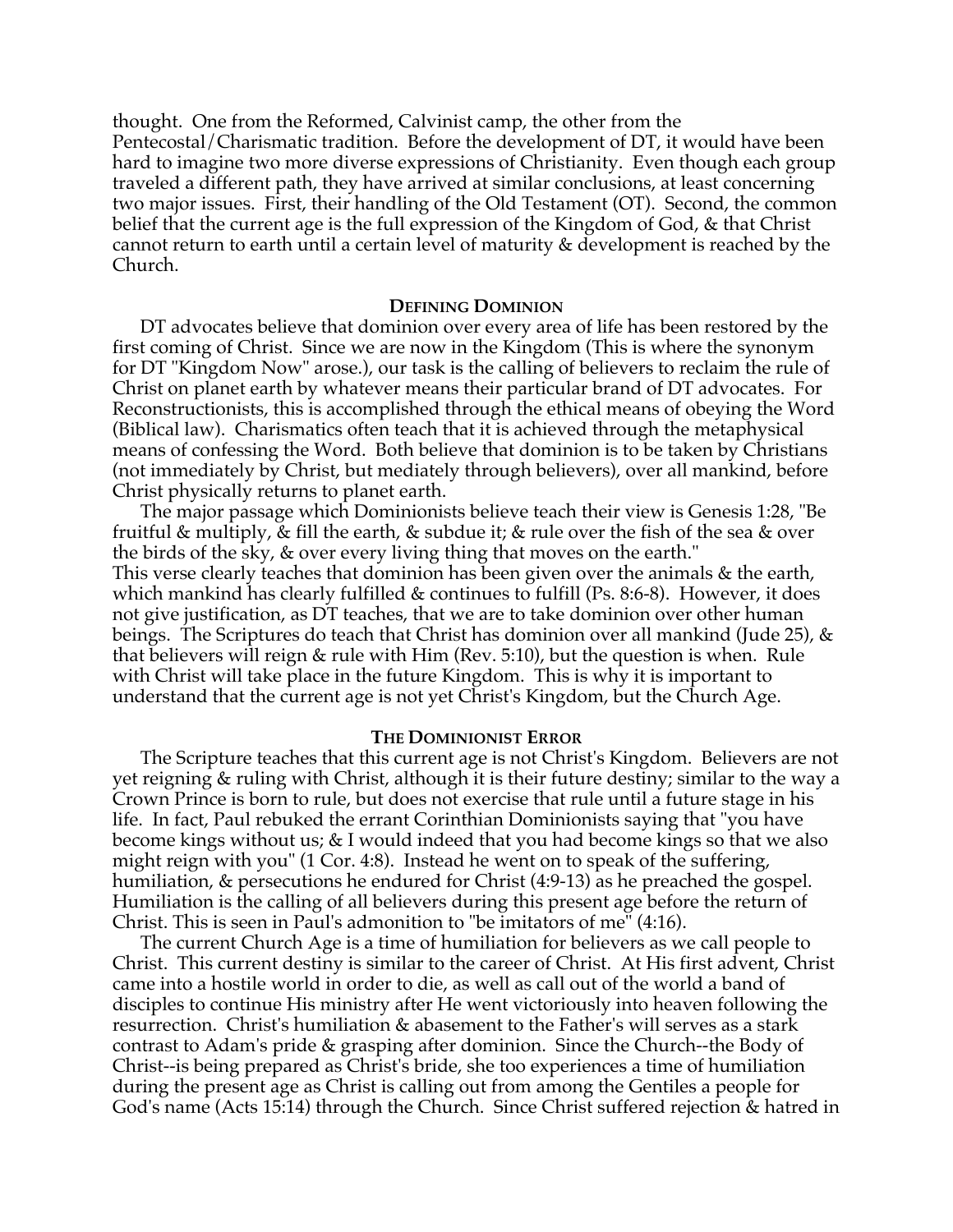thought. One from the Reformed, Calvinist camp, the other from the Pentecostal/Charismatic tradition. Before the development of DT, it would have been hard to imagine two more diverse expressions of Christianity. Even though each group traveled a different path, they have arrived at similar conclusions, at least concerning two major issues. First, their handling of the Old Testament (OT). Second, the common belief that the current age is the full expression of the Kingdom of God, & that Christ cannot return to earth until a certain level of maturity & development is reached by the Church.

### **DEFINING DOMINION**

DT advocates believe that dominion over every area of life has been restored by the first coming of Christ. Since we are now in the Kingdom (This is where the synonym for DT "Kingdom Now" arose.), our task is the calling of believers to reclaim the rule of Christ on planet earth by whatever means their particular brand of DT advocates. For Reconstructionists, this is accomplished through the ethical means of obeying the Word (Biblical law). Charismatics often teach that it is achieved through the metaphysical means of confessing the Word. Both believe that dominion is to be taken by Christians (not immediately by Christ, but mediately through believers), over all mankind, before Christ physically returns to planet earth.

The major passage which Dominionists believe teach their view is Genesis 1:28, "Be fruitful & multiply, & fill the earth, & subdue it; & rule over the fish of the sea & over the birds of the sky, & over every living thing that moves on the earth." This verse clearly teaches that dominion has been given over the animals & the earth, which mankind has clearly fulfilled & continues to fulfill (Ps. 8:6-8). However, it does

not give justification, as DT teaches, that we are to take dominion over other human beings. The Scriptures do teach that Christ has dominion over all mankind (Jude 25), & that believers will reign & rule with Him (Rev. 5:10), but the question is when. Rule with Christ will take place in the future Kingdom. This is why it is important to understand that the current age is not yet Christ's Kingdom, but the Church Age.

# **THE DOMINIONIST ERROR**

The Scripture teaches that this current age is not Christ's Kingdom. Believers are not yet reigning & ruling with Christ, although it is their future destiny; similar to the way a Crown Prince is born to rule, but does not exercise that rule until a future stage in his life. In fact, Paul rebuked the errant Corinthian Dominionists saying that "you have become kings without us; & I would indeed that you had become kings so that we also might reign with you" (1 Cor. 4:8). Instead he went on to speak of the suffering, humiliation, & persecutions he endured for Christ (4:9-13) as he preached the gospel. Humiliation is the calling of all believers during this present age before the return of Christ. This is seen in Paul's admonition to "be imitators of me" (4:16).

The current Church Age is a time of humiliation for believers as we call people to Christ. This current destiny is similar to the career of Christ. At His first advent, Christ came into a hostile world in order to die, as well as call out of the world a band of disciples to continue His ministry after He went victoriously into heaven following the resurrection. Christ's humiliation & abasement to the Father's will serves as a stark contrast to Adam's pride & grasping after dominion. Since the Church--the Body of Christ--is being prepared as Christ's bride, she too experiences a time of humiliation during the present age as Christ is calling out from among the Gentiles a people for God's name (Acts 15:14) through the Church. Since Christ suffered rejection & hatred in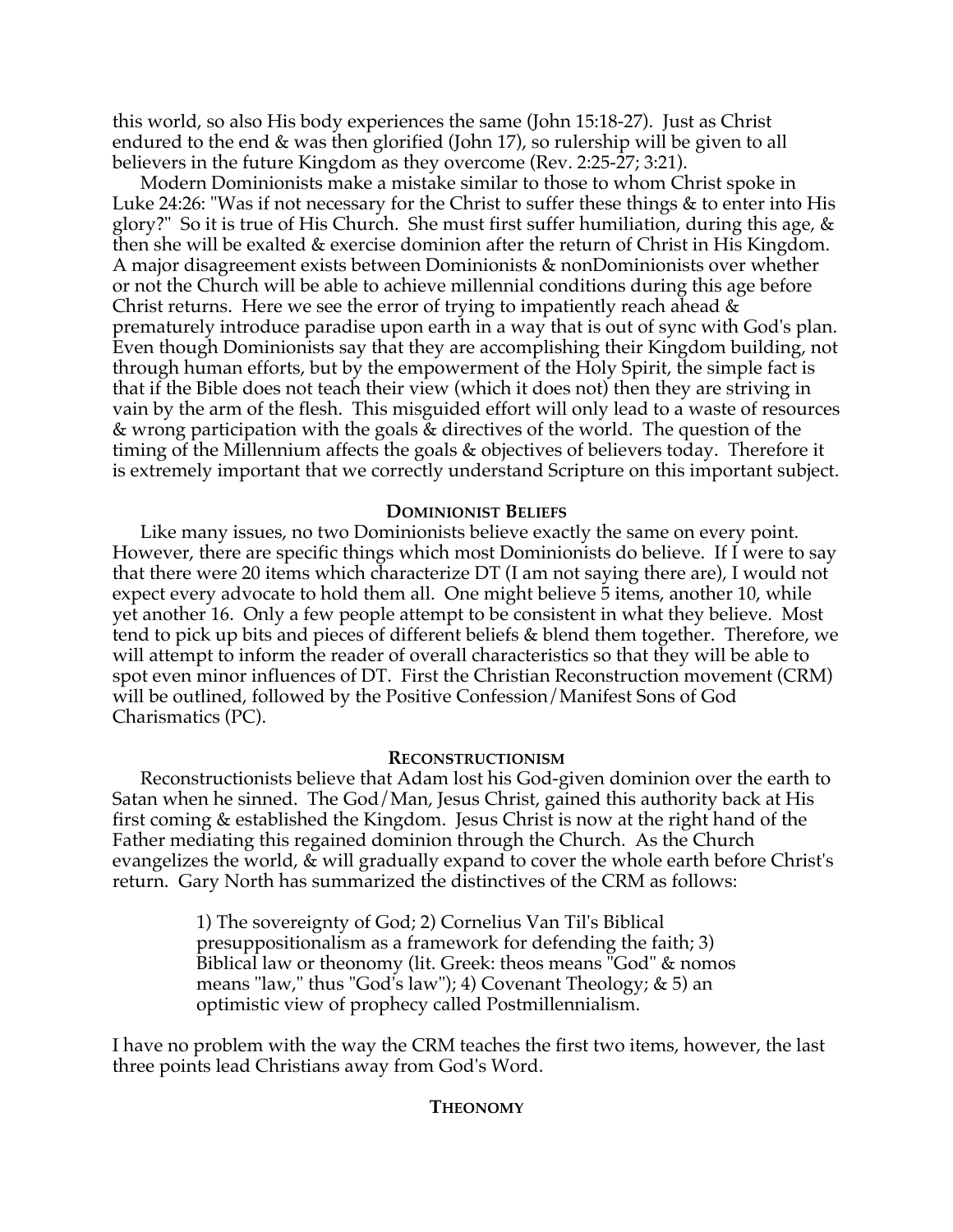this world, so also His body experiences the same (John 15:18-27). Just as Christ endured to the end & was then glorified (John 17), so rulership will be given to all believers in the future Kingdom as they overcome (Rev. 2:25-27; 3:21).

Modern Dominionists make a mistake similar to those to whom Christ spoke in Luke 24:26: "Was if not necessary for the Christ to suffer these things & to enter into His glory?" So it is true of His Church. She must first suffer humiliation, during this age, & then she will be exalted  $\&$  exercise dominion after the return of Christ in His Kingdom. A major disagreement exists between Dominionists & nonDominionists over whether or not the Church will be able to achieve millennial conditions during this age before Christ returns. Here we see the error of trying to impatiently reach ahead  $\&$ prematurely introduce paradise upon earth in a way that is out of sync with God's plan. Even though Dominionists say that they are accomplishing their Kingdom building, not through human efforts, but by the empowerment of the Holy Spirit, the simple fact is that if the Bible does not teach their view (which it does not) then they are striving in vain by the arm of the flesh. This misguided effort will only lead to a waste of resources & wrong participation with the goals & directives of the world. The question of the timing of the Millennium affects the goals & objectives of believers today. Therefore it is extremely important that we correctly understand Scripture on this important subject.

# **DOMINIONIST BELIEFS**

Like many issues, no two Dominionists believe exactly the same on every point. However, there are specific things which most Dominionists do believe. If I were to say that there were 20 items which characterize DT (I am not saying there are), I would not expect every advocate to hold them all. One might believe 5 items, another 10, while yet another 16. Only a few people attempt to be consistent in what they believe. Most tend to pick up bits and pieces of different beliefs & blend them together. Therefore, we will attempt to inform the reader of overall characteristics so that they will be able to spot even minor influences of DT. First the Christian Reconstruction movement (CRM) will be outlined, followed by the Positive Confession/Manifest Sons of God Charismatics (PC).

### **RECONSTRUCTIONISM**

Reconstructionists believe that Adam lost his God-given dominion over the earth to Satan when he sinned. The God/Man, Jesus Christ, gained this authority back at His first coming & established the Kingdom. Jesus Christ is now at the right hand of the Father mediating this regained dominion through the Church. As the Church evangelizes the world, & will gradually expand to cover the whole earth before Christ's return. Gary North has summarized the distinctives of the CRM as follows:

> 1) The sovereignty of God; 2) Cornelius Van Til's Biblical presuppositionalism as a framework for defending the faith; 3) Biblical law or theonomy (lit. Greek: theos means "God" & nomos means "law," thus "God's law"); 4) Covenant Theology; & 5) an optimistic view of prophecy called Postmillennialism.

I have no problem with the way the CRM teaches the first two items, however, the last three points lead Christians away from God's Word.

# **THEONOMY**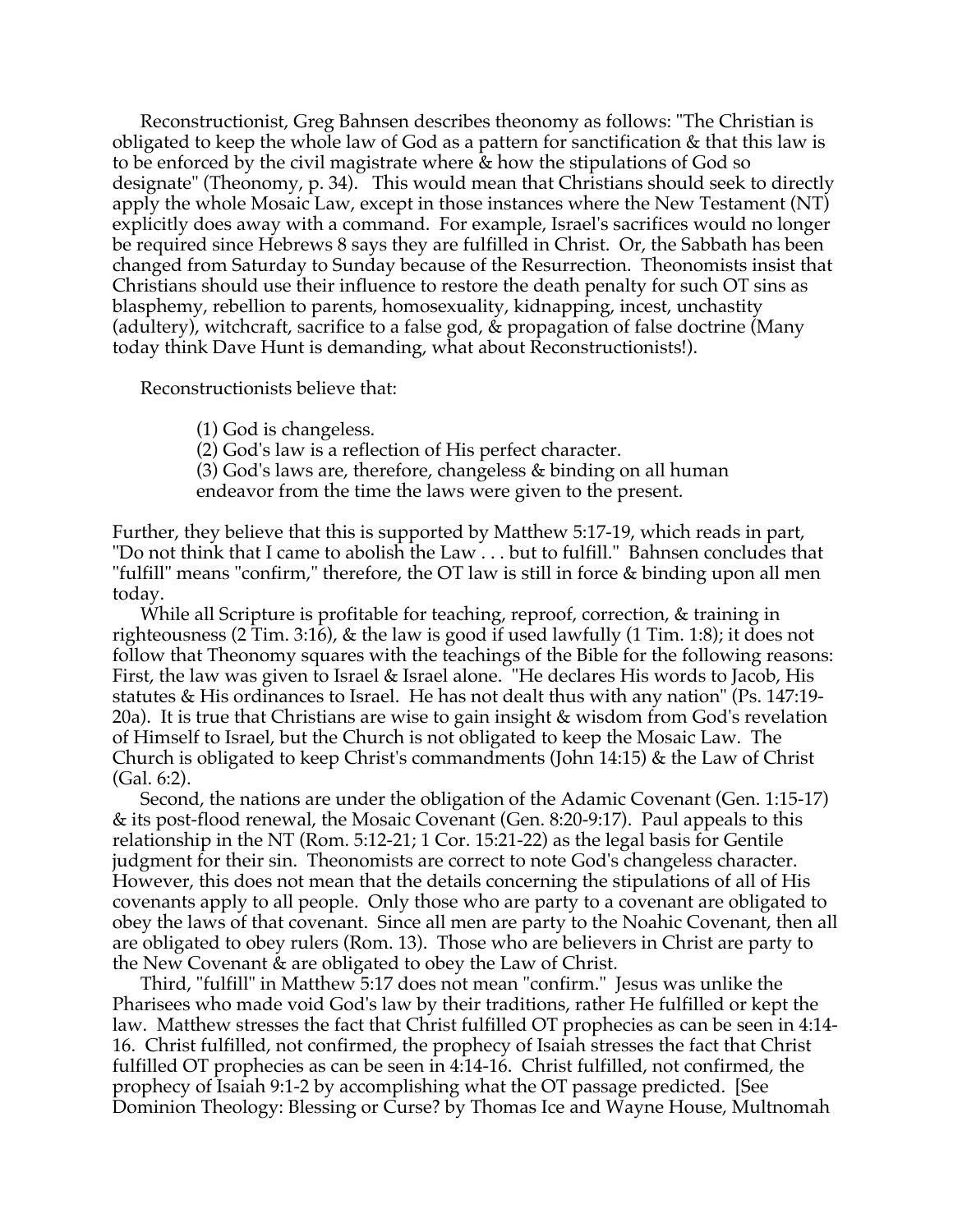Reconstructionist, Greg Bahnsen describes theonomy as follows: "The Christian is obligated to keep the whole law of God as a pattern for sanctification & that this law is to be enforced by the civil magistrate where & how the stipulations of God so designate" (Theonomy, p. 34). This would mean that Christians should seek to directly apply the whole Mosaic Law, except in those instances where the New Testament (NT) explicitly does away with a command. For example, Israel's sacrifices would no longer be required since Hebrews 8 says they are fulfilled in Christ. Or, the Sabbath has been changed from Saturday to Sunday because of the Resurrection. Theonomists insist that Christians should use their influence to restore the death penalty for such OT sins as blasphemy, rebellion to parents, homosexuality, kidnapping, incest, unchastity (adultery), witchcraft, sacrifice to a false god, & propagation of false doctrine (Many today think Dave Hunt is demanding, what about Reconstructionists!).

Reconstructionists believe that:

(1) God is changeless.

(2) God's law is a reflection of His perfect character.

(3) God's laws are, therefore, changeless & binding on all human endeavor from the time the laws were given to the present.

Further, they believe that this is supported by Matthew 5:17-19, which reads in part, "Do not think that I came to abolish the Law . . . but to fulfill." Bahnsen concludes that "fulfill" means "confirm," therefore, the OT law is still in force & binding upon all men today.

While all Scripture is profitable for teaching, reproof, correction, & training in righteousness (2 Tim. 3:16), & the law is good if used lawfully (1 Tim. 1:8); it does not follow that Theonomy squares with the teachings of the Bible for the following reasons: First, the law was given to Israel & Israel alone. "He declares His words to Jacob, His statutes & His ordinances to Israel. He has not dealt thus with any nation" (Ps. 147:19- 20a). It is true that Christians are wise to gain insight & wisdom from God's revelation of Himself to Israel, but the Church is not obligated to keep the Mosaic Law. The Church is obligated to keep Christ's commandments (John 14:15) & the Law of Christ (Gal. 6:2).

Second, the nations are under the obligation of the Adamic Covenant (Gen. 1:15-17) & its post-flood renewal, the Mosaic Covenant (Gen. 8:20-9:17). Paul appeals to this relationship in the NT (Rom. 5:12-21; 1 Cor. 15:21-22) as the legal basis for Gentile judgment for their sin. Theonomists are correct to note God's changeless character. However, this does not mean that the details concerning the stipulations of all of His covenants apply to all people. Only those who are party to a covenant are obligated to obey the laws of that covenant. Since all men are party to the Noahic Covenant, then all are obligated to obey rulers (Rom. 13). Those who are believers in Christ are party to the New Covenant & are obligated to obey the Law of Christ.

Third, "fulfill" in Matthew 5:17 does not mean "confirm." Jesus was unlike the Pharisees who made void God's law by their traditions, rather He fulfilled or kept the law. Matthew stresses the fact that Christ fulfilled OT prophecies as can be seen in 4:14- 16. Christ fulfilled, not confirmed, the prophecy of Isaiah stresses the fact that Christ fulfilled OT prophecies as can be seen in 4:14-16. Christ fulfilled, not confirmed, the prophecy of Isaiah 9:1-2 by accomplishing what the OT passage predicted. [See Dominion Theology: Blessing or Curse? by Thomas Ice and Wayne House, Multnomah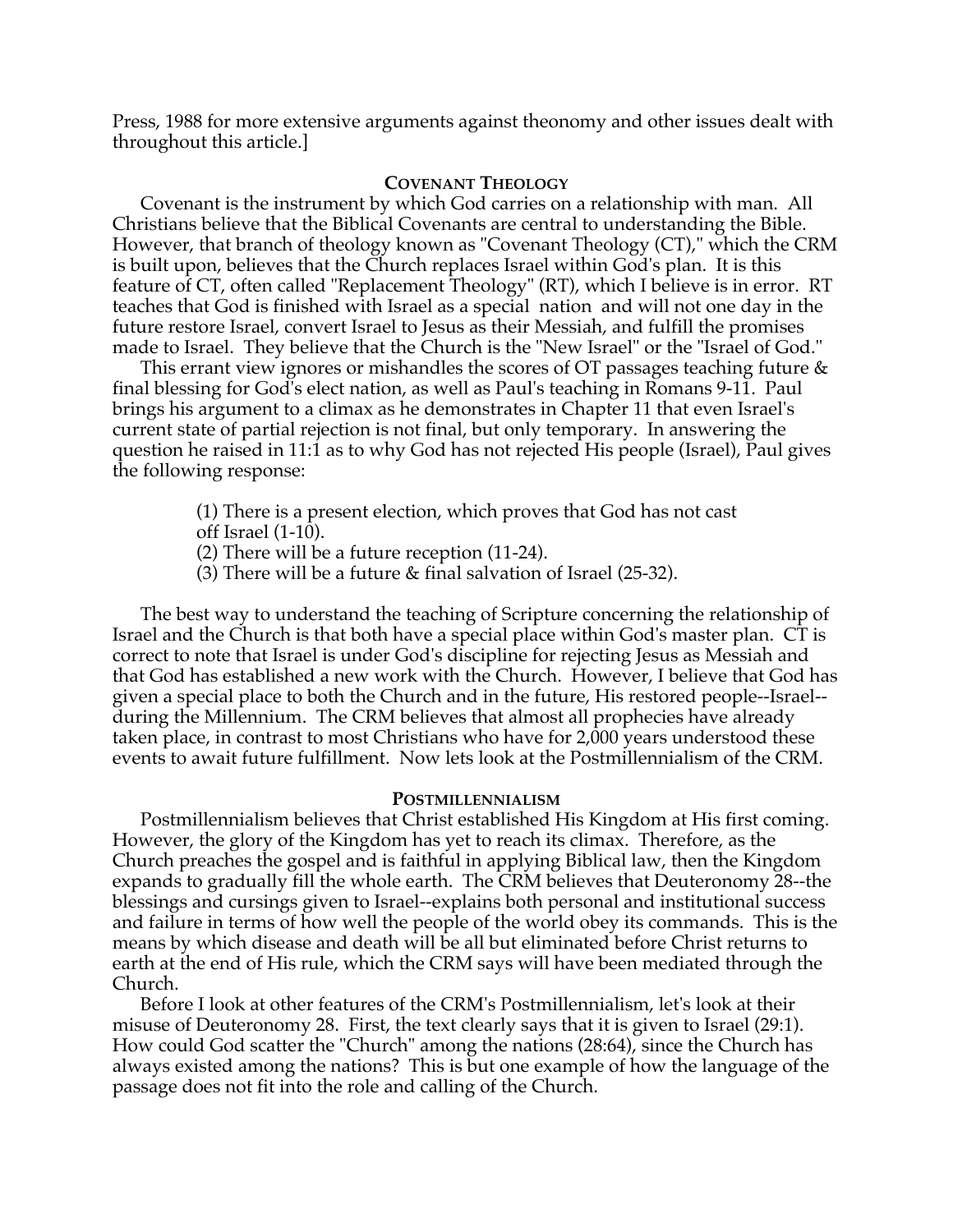Press, 1988 for more extensive arguments against theonomy and other issues dealt with throughout this article.]

# **COVENANT THEOLOGY**

Covenant is the instrument by which God carries on a relationship with man. All Christians believe that the Biblical Covenants are central to understanding the Bible. However, that branch of theology known as "Covenant Theology (CT)," which the CRM is built upon, believes that the Church replaces Israel within God's plan. It is this feature of CT, often called "Replacement Theology" (RT), which I believe is in error. RT teaches that God is finished with Israel as a special nation and will not one day in the future restore Israel, convert Israel to Jesus as their Messiah, and fulfill the promises made to Israel. They believe that the Church is the "New Israel" or the "Israel of God."

This errant view ignores or mishandles the scores of OT passages teaching future & final blessing for God's elect nation, as well as Paul's teaching in Romans 9-11. Paul brings his argument to a climax as he demonstrates in Chapter 11 that even Israel's current state of partial rejection is not final, but only temporary. In answering the question he raised in 11:1 as to why God has not rejected His people (Israel), Paul gives the following response:

- (1) There is a present election, which proves that God has not cast
- off Israel  $(1-10)$ .
- (2) There will be a future reception (11-24).
- (3) There will be a future & final salvation of Israel (25-32).

The best way to understand the teaching of Scripture concerning the relationship of Israel and the Church is that both have a special place within God's master plan. CT is correct to note that Israel is under God's discipline for rejecting Jesus as Messiah and that God has established a new work with the Church. However, I believe that God has given a special place to both the Church and in the future, His restored people--Israel- during the Millennium. The CRM believes that almost all prophecies have already taken place, in contrast to most Christians who have for 2,000 years understood these events to await future fulfillment. Now lets look at the Postmillennialism of the CRM.

# **POSTMILLENNIALISM**

Postmillennialism believes that Christ established His Kingdom at His first coming. However, the glory of the Kingdom has yet to reach its climax. Therefore, as the Church preaches the gospel and is faithful in applying Biblical law, then the Kingdom expands to gradually fill the whole earth. The CRM believes that Deuteronomy 28--the blessings and cursings given to Israel--explains both personal and institutional success and failure in terms of how well the people of the world obey its commands. This is the means by which disease and death will be all but eliminated before Christ returns to earth at the end of His rule, which the CRM says will have been mediated through the Church.

Before I look at other features of the CRM's Postmillennialism, let's look at their misuse of Deuteronomy 28. First, the text clearly says that it is given to Israel (29:1). How could God scatter the "Church" among the nations (28:64), since the Church has always existed among the nations? This is but one example of how the language of the passage does not fit into the role and calling of the Church.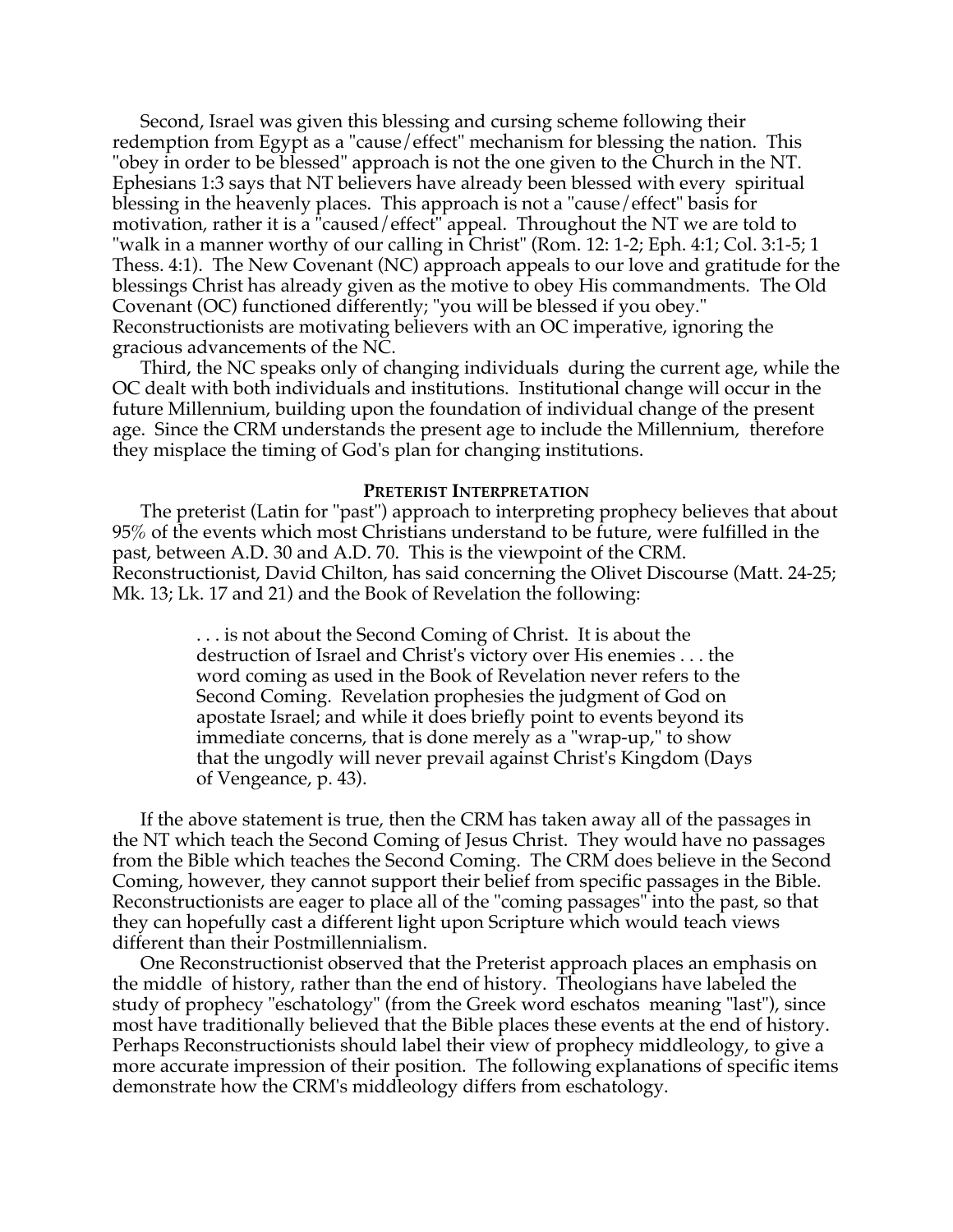Second, Israel was given this blessing and cursing scheme following their redemption from Egypt as a "cause/effect" mechanism for blessing the nation. This "obey in order to be blessed" approach is not the one given to the Church in the NT. Ephesians 1:3 says that NT believers have already been blessed with every spiritual blessing in the heavenly places. This approach is not a "cause/effect" basis for motivation, rather it is a "caused/effect" appeal. Throughout the NT we are told to "walk in a manner worthy of our calling in Christ" (Rom. 12: 1-2; Eph. 4:1; Col. 3:1-5; 1 Thess. 4:1). The New Covenant (NC) approach appeals to our love and gratitude for the blessings Christ has already given as the motive to obey His commandments. The Old Covenant (OC) functioned differently; "you will be blessed if you obey." Reconstructionists are motivating believers with an OC imperative, ignoring the gracious advancements of the NC.

Third, the NC speaks only of changing individuals during the current age, while the OC dealt with both individuals and institutions. Institutional change will occur in the future Millennium, building upon the foundation of individual change of the present age. Since the CRM understands the present age to include the Millennium, therefore they misplace the timing of God's plan for changing institutions.

### **PRETERIST INTERPRETATION**

The preterist (Latin for "past") approach to interpreting prophecy believes that about 95% of the events which most Christians understand to be future, were fulfilled in the past, between A.D. 30 and A.D. 70. This is the viewpoint of the CRM. Reconstructionist, David Chilton, has said concerning the Olivet Discourse (Matt. 24-25; Mk. 13; Lk. 17 and 21) and the Book of Revelation the following:

> . . . is not about the Second Coming of Christ. It is about the destruction of Israel and Christ's victory over His enemies . . . the word coming as used in the Book of Revelation never refers to the Second Coming. Revelation prophesies the judgment of God on apostate Israel; and while it does briefly point to events beyond its immediate concerns, that is done merely as a "wrap-up," to show that the ungodly will never prevail against Christ's Kingdom (Days of Vengeance, p. 43).

If the above statement is true, then the CRM has taken away all of the passages in the NT which teach the Second Coming of Jesus Christ. They would have no passages from the Bible which teaches the Second Coming. The CRM does believe in the Second Coming, however, they cannot support their belief from specific passages in the Bible. Reconstructionists are eager to place all of the "coming passages" into the past, so that they can hopefully cast a different light upon Scripture which would teach views different than their Postmillennialism.

One Reconstructionist observed that the Preterist approach places an emphasis on the middle of history, rather than the end of history. Theologians have labeled the study of prophecy "eschatology" (from the Greek word eschatos meaning "last"), since most have traditionally believed that the Bible places these events at the end of history. Perhaps Reconstructionists should label their view of prophecy middleology, to give a more accurate impression of their position. The following explanations of specific items demonstrate how the CRM's middleology differs from eschatology.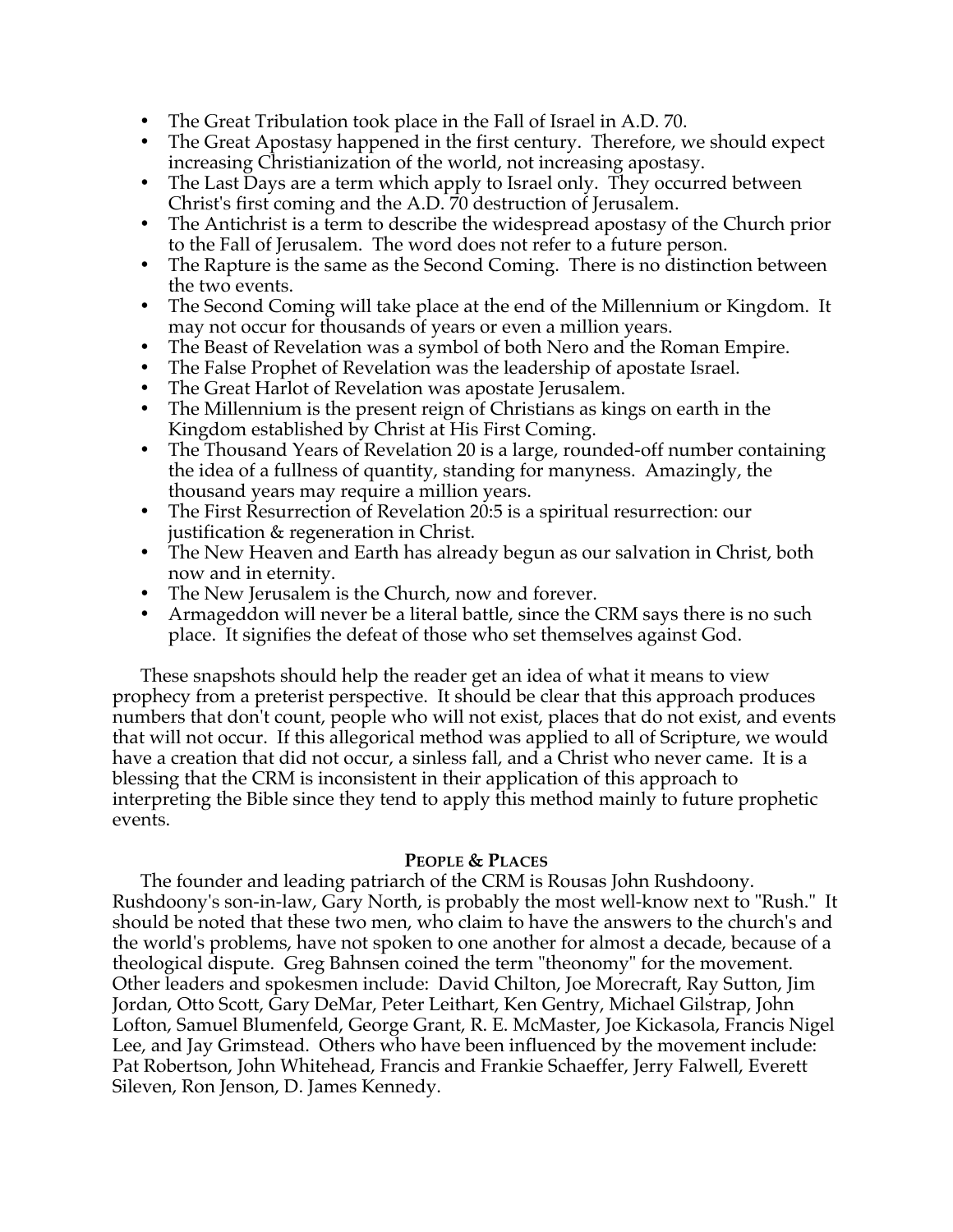- The Great Tribulation took place in the Fall of Israel in A.D. 70.
- The Great Apostasy happened in the first century. Therefore, we should expect increasing Christianization of the world, not increasing apostasy.
- The Last Days are a term which apply to Israel only. They occurred between Christ's first coming and the A.D. 70 destruction of Jerusalem.
- The Antichrist is a term to describe the widespread apostasy of the Church prior to the Fall of Jerusalem. The word does not refer to a future person.
- The Rapture is the same as the Second Coming. There is no distinction between the two events.
- The Second Coming will take place at the end of the Millennium or Kingdom. It may not occur for thousands of years or even a million years.
- The Beast of Revelation was a symbol of both Nero and the Roman Empire.
- The False Prophet of Revelation was the leadership of apostate Israel.
- The Great Harlot of Revelation was apostate Jerusalem.
- The Millennium is the present reign of Christians as kings on earth in the Kingdom established by Christ at His First Coming.
- The Thousand Years of Revelation 20 is a large, rounded-off number containing the idea of a fullness of quantity, standing for manyness. Amazingly, the thousand years may require a million years.
- The First Resurrection of Revelation 20:5 is a spiritual resurrection: our justification & regeneration in Christ.
- The New Heaven and Earth has already begun as our salvation in Christ, both now and in eternity.
- The New Jerusalem is the Church, now and forever.
- Armageddon will never be a literal battle, since the CRM says there is no such place. It signifies the defeat of those who set themselves against God.

These snapshots should help the reader get an idea of what it means to view prophecy from a preterist perspective. It should be clear that this approach produces numbers that don't count, people who will not exist, places that do not exist, and events that will not occur. If this allegorical method was applied to all of Scripture, we would have a creation that did not occur, a sinless fall, and a Christ who never came. It is a blessing that the CRM is inconsistent in their application of this approach to interpreting the Bible since they tend to apply this method mainly to future prophetic events.

# **PEOPLE & PLACES**

The founder and leading patriarch of the CRM is Rousas John Rushdoony. Rushdoony's son-in-law, Gary North, is probably the most well-know next to "Rush." It should be noted that these two men, who claim to have the answers to the church's and the world's problems, have not spoken to one another for almost a decade, because of a theological dispute. Greg Bahnsen coined the term "theonomy" for the movement. Other leaders and spokesmen include: David Chilton, Joe Morecraft, Ray Sutton, Jim Jordan, Otto Scott, Gary DeMar, Peter Leithart, Ken Gentry, Michael Gilstrap, John Lofton, Samuel Blumenfeld, George Grant, R. E. McMaster, Joe Kickasola, Francis Nigel Lee, and Jay Grimstead. Others who have been influenced by the movement include: Pat Robertson, John Whitehead, Francis and Frankie Schaeffer, Jerry Falwell, Everett Sileven, Ron Jenson, D. James Kennedy.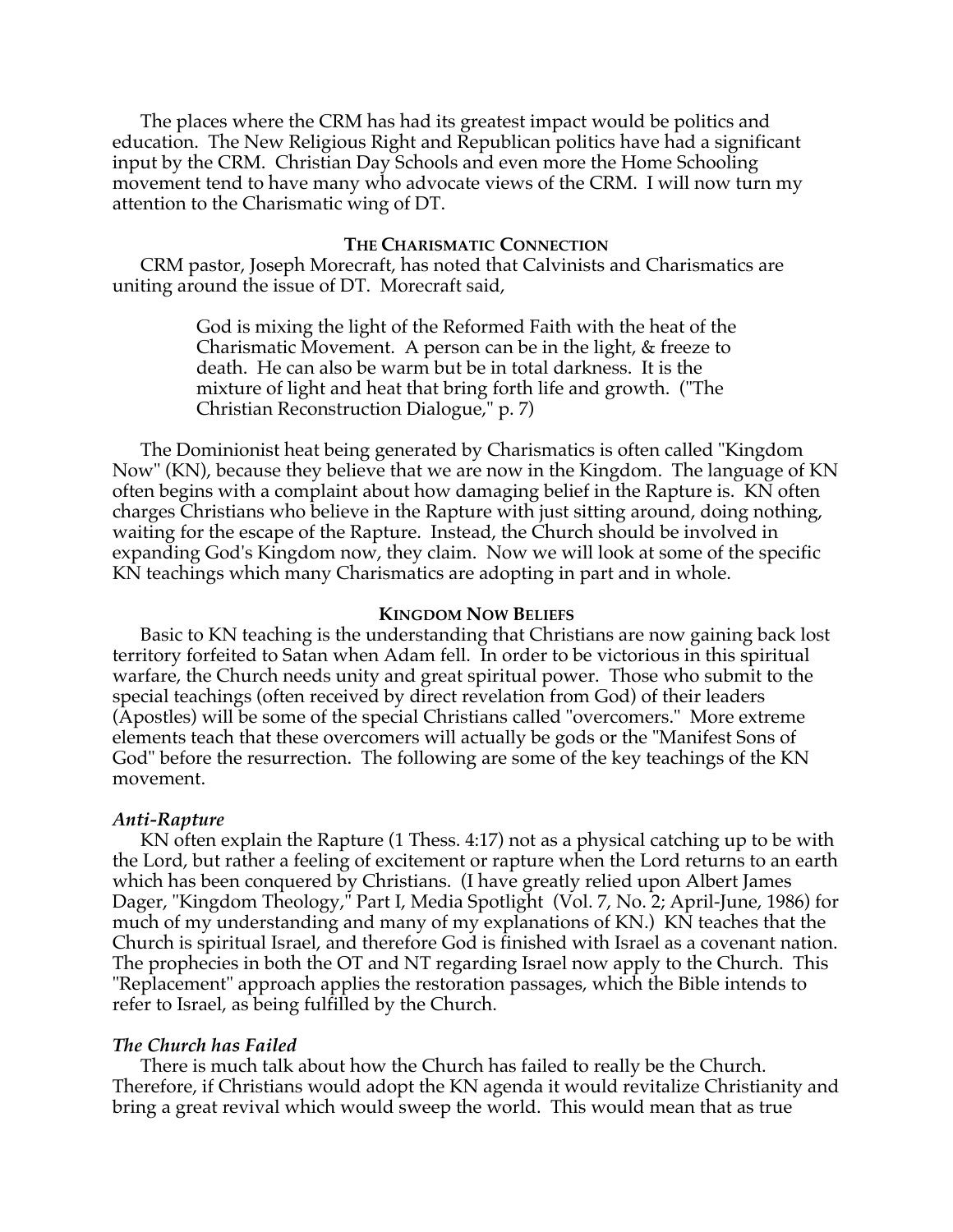The places where the CRM has had its greatest impact would be politics and education. The New Religious Right and Republican politics have had a significant input by the CRM. Christian Day Schools and even more the Home Schooling movement tend to have many who advocate views of the CRM. I will now turn my attention to the Charismatic wing of DT.

### **THE CHARISMATIC CONNECTION**

CRM pastor, Joseph Morecraft, has noted that Calvinists and Charismatics are uniting around the issue of DT. Morecraft said,

> God is mixing the light of the Reformed Faith with the heat of the Charismatic Movement. A person can be in the light, & freeze to death. He can also be warm but be in total darkness. It is the mixture of light and heat that bring forth life and growth. ("The Christian Reconstruction Dialogue," p. 7)

The Dominionist heat being generated by Charismatics is often called "Kingdom Now" (KN), because they believe that we are now in the Kingdom. The language of KN often begins with a complaint about how damaging belief in the Rapture is. KN often charges Christians who believe in the Rapture with just sitting around, doing nothing, waiting for the escape of the Rapture. Instead, the Church should be involved in expanding God's Kingdom now, they claim. Now we will look at some of the specific KN teachings which many Charismatics are adopting in part and in whole.

#### **KINGDOM NOW BELIEFS**

Basic to KN teaching is the understanding that Christians are now gaining back lost territory forfeited to Satan when Adam fell. In order to be victorious in this spiritual warfare, the Church needs unity and great spiritual power. Those who submit to the special teachings (often received by direct revelation from God) of their leaders (Apostles) will be some of the special Christians called "overcomers." More extreme elements teach that these overcomers will actually be gods or the "Manifest Sons of God" before the resurrection. The following are some of the key teachings of the KN movement.

#### *Anti-Rapture*

KN often explain the Rapture (1 Thess. 4:17) not as a physical catching up to be with the Lord, but rather a feeling of excitement or rapture when the Lord returns to an earth which has been conquered by Christians. (I have greatly relied upon Albert James Dager, "Kingdom Theology," Part I, Media Spotlight (Vol. 7, No. 2; April-June, 1986) for much of my understanding and many of my explanations of KN.) KN teaches that the Church is spiritual Israel, and therefore God is finished with Israel as a covenant nation. The prophecies in both the OT and NT regarding Israel now apply to the Church. This "Replacement" approach applies the restoration passages, which the Bible intends to refer to Israel, as being fulfilled by the Church.

### *The Church has Failed*

There is much talk about how the Church has failed to really be the Church. Therefore, if Christians would adopt the KN agenda it would revitalize Christianity and bring a great revival which would sweep the world. This would mean that as true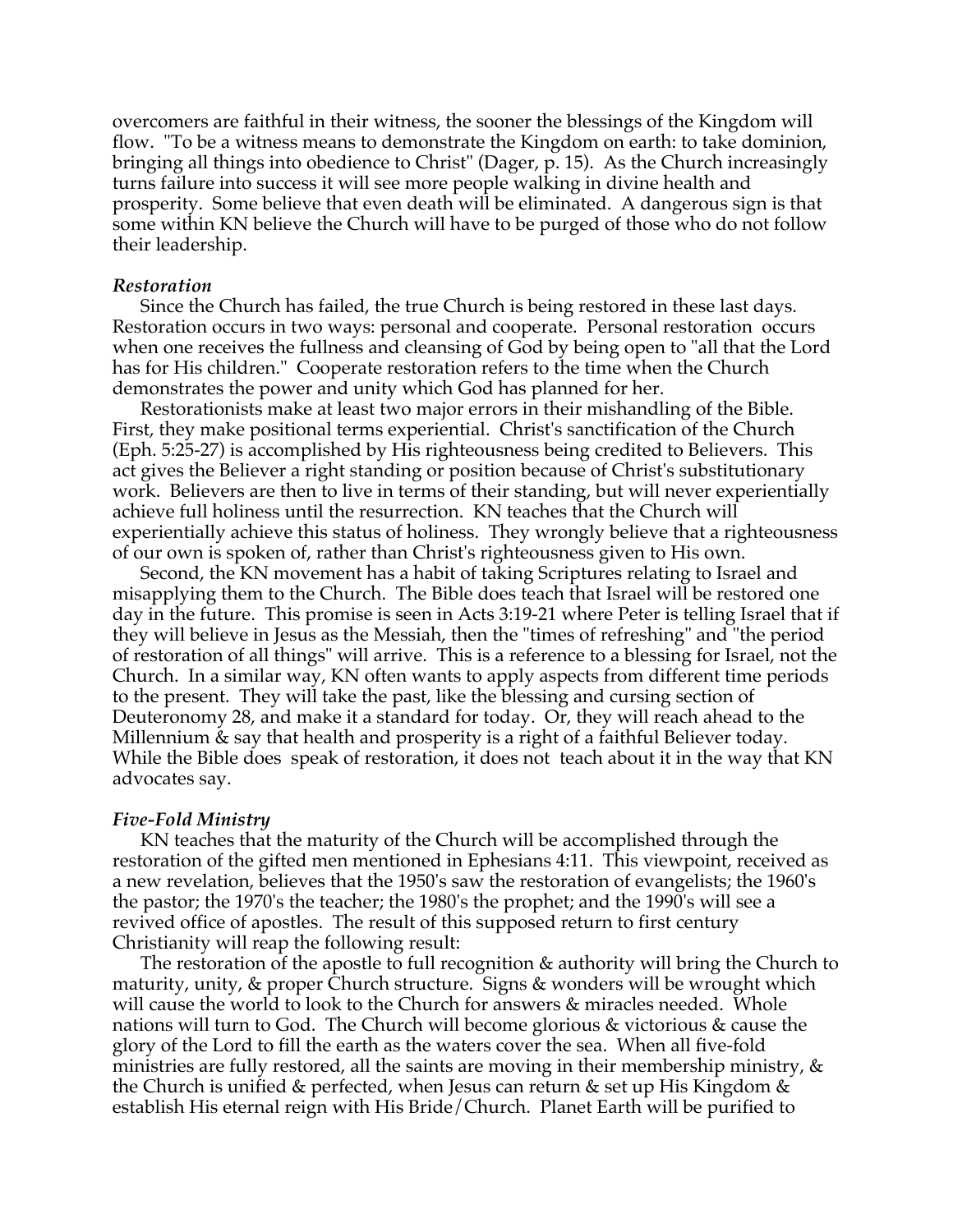overcomers are faithful in their witness, the sooner the blessings of the Kingdom will flow. "To be a witness means to demonstrate the Kingdom on earth: to take dominion, bringing all things into obedience to Christ" (Dager, p. 15). As the Church increasingly turns failure into success it will see more people walking in divine health and prosperity. Some believe that even death will be eliminated. A dangerous sign is that some within KN believe the Church will have to be purged of those who do not follow their leadership.

# *Restoration*

Since the Church has failed, the true Church is being restored in these last days. Restoration occurs in two ways: personal and cooperate. Personal restoration occurs when one receives the fullness and cleansing of God by being open to "all that the Lord has for His children." Cooperate restoration refers to the time when the Church demonstrates the power and unity which God has planned for her.

Restorationists make at least two major errors in their mishandling of the Bible. First, they make positional terms experiential. Christ's sanctification of the Church (Eph. 5:25-27) is accomplished by His righteousness being credited to Believers. This act gives the Believer a right standing or position because of Christ's substitutionary work. Believers are then to live in terms of their standing, but will never experientially achieve full holiness until the resurrection. KN teaches that the Church will experientially achieve this status of holiness. They wrongly believe that a righteousness of our own is spoken of, rather than Christ's righteousness given to His own.

Second, the KN movement has a habit of taking Scriptures relating to Israel and misapplying them to the Church. The Bible does teach that Israel will be restored one day in the future. This promise is seen in Acts 3:19-21 where Peter is telling Israel that if they will believe in Jesus as the Messiah, then the "times of refreshing" and "the period of restoration of all things" will arrive. This is a reference to a blessing for Israel, not the Church. In a similar way, KN often wants to apply aspects from different time periods to the present. They will take the past, like the blessing and cursing section of Deuteronomy 28, and make it a standard for today. Or, they will reach ahead to the Millennium  $\&$  say that health and prosperity is a right of a faithful Believer today. While the Bible does speak of restoration, it does not teach about it in the way that KN advocates say.

### *Five-Fold Ministry*

KN teaches that the maturity of the Church will be accomplished through the restoration of the gifted men mentioned in Ephesians 4:11. This viewpoint, received as a new revelation, believes that the 1950's saw the restoration of evangelists; the 1960's the pastor; the 1970's the teacher; the 1980's the prophet; and the 1990's will see a revived office of apostles. The result of this supposed return to first century Christianity will reap the following result:

The restoration of the apostle to full recognition & authority will bring the Church to maturity, unity, & proper Church structure. Signs & wonders will be wrought which will cause the world to look to the Church for answers & miracles needed. Whole nations will turn to God. The Church will become glorious & victorious & cause the glory of the Lord to fill the earth as the waters cover the sea. When all five-fold ministries are fully restored, all the saints are moving in their membership ministry,  $\&$ the Church is unified & perfected, when Jesus can return & set up His Kingdom & establish His eternal reign with His Bride/Church. Planet Earth will be purified to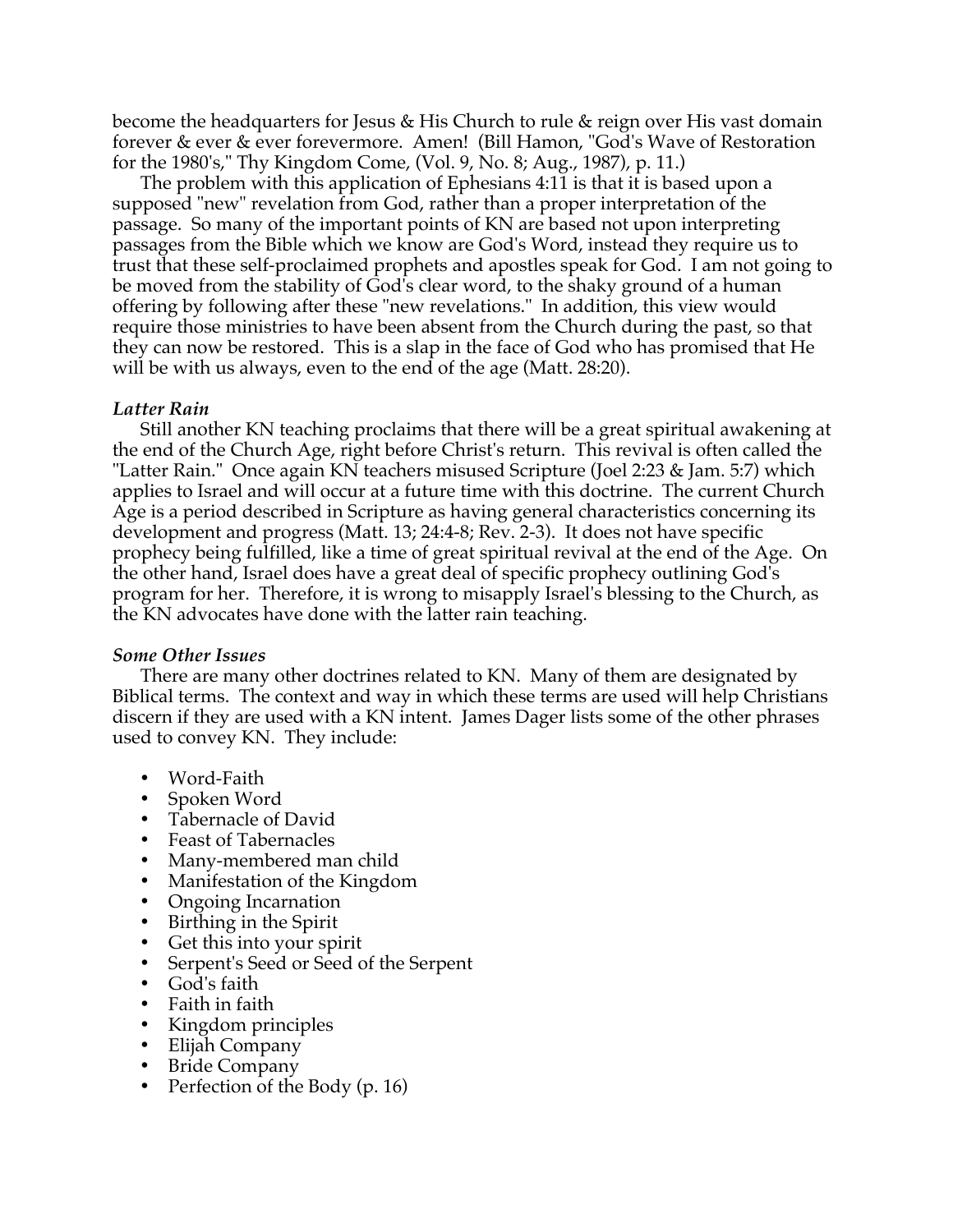become the headquarters for Jesus & His Church to rule & reign over His vast domain forever & ever & ever forevermore. Amen! (Bill Hamon, "God's Wave of Restoration for the 1980's," Thy Kingdom Come, (Vol. 9, No. 8; Aug., 1987), p. 11.)

The problem with this application of Ephesians 4:11 is that it is based upon a supposed "new" revelation from God, rather than a proper interpretation of the passage. So many of the important points of KN are based not upon interpreting passages from the Bible which we know are God's Word, instead they require us to trust that these self-proclaimed prophets and apostles speak for God. I am not going to be moved from the stability of God's clear word, to the shaky ground of a human offering by following after these "new revelations." In addition, this view would require those ministries to have been absent from the Church during the past, so that they can now be restored. This is a slap in the face of God who has promised that He will be with us always, even to the end of the age (Matt. 28:20).

# *Latter Rain*

Still another KN teaching proclaims that there will be a great spiritual awakening at the end of the Church Age, right before Christ's return. This revival is often called the "Latter Rain." Once again KN teachers misused Scripture (Joel 2:23 & Jam. 5:7) which applies to Israel and will occur at a future time with this doctrine. The current Church Age is a period described in Scripture as having general characteristics concerning its development and progress (Matt. 13; 24:4-8; Rev. 2-3). It does not have specific prophecy being fulfilled, like a time of great spiritual revival at the end of the Age. On the other hand, Israel does have a great deal of specific prophecy outlining God's program for her. Therefore, it is wrong to misapply Israel's blessing to the Church, as the KN advocates have done with the latter rain teaching.

# *Some Other Issues*

There are many other doctrines related to KN. Many of them are designated by Biblical terms. The context and way in which these terms are used will help Christians discern if they are used with a KN intent. James Dager lists some of the other phrases used to convey KN. They include:

- Word-Faith
- Spoken Word
- Tabernacle of David
- Feast of Tabernacles
- Many-membered man child
- Manifestation of the Kingdom
- Ongoing Incarnation
- Birthing in the Spirit
- Get this into your spirit
- Serpent's Seed or Seed of the Serpent
- God's faith
- Faith in faith
- Kingdom principles
- Elijah Company
- Bride Company
- Perfection of the Body (p. 16)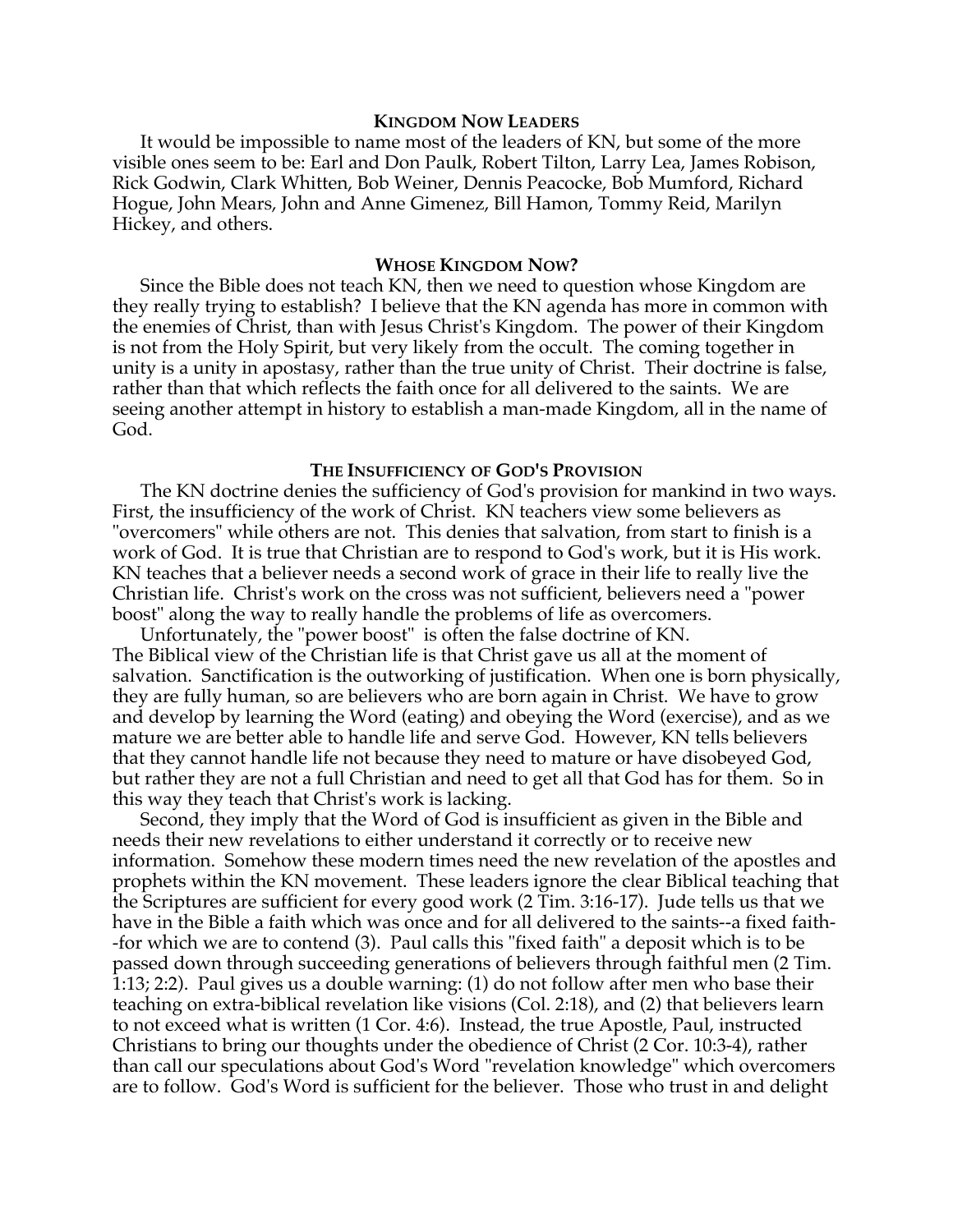# **KINGDOM NOW LEADERS**

It would be impossible to name most of the leaders of KN, but some of the more visible ones seem to be: Earl and Don Paulk, Robert Tilton, Larry Lea, James Robison, Rick Godwin, Clark Whitten, Bob Weiner, Dennis Peacocke, Bob Mumford, Richard Hogue, John Mears, John and Anne Gimenez, Bill Hamon, Tommy Reid, Marilyn Hickey, and others.

### **WHOSE KINGDOM NOW?**

Since the Bible does not teach KN, then we need to question whose Kingdom are they really trying to establish? I believe that the KN agenda has more in common with the enemies of Christ, than with Jesus Christ's Kingdom. The power of their Kingdom is not from the Holy Spirit, but very likely from the occult. The coming together in unity is a unity in apostasy, rather than the true unity of Christ. Their doctrine is false, rather than that which reflects the faith once for all delivered to the saints. We are seeing another attempt in history to establish a man-made Kingdom, all in the name of God.

### **THE INSUFFICIENCY OF GOD'S PROVISION**

The KN doctrine denies the sufficiency of God's provision for mankind in two ways. First, the insufficiency of the work of Christ. KN teachers view some believers as "overcomers" while others are not. This denies that salvation, from start to finish is a work of God. It is true that Christian are to respond to God's work, but it is His work. KN teaches that a believer needs a second work of grace in their life to really live the Christian life. Christ's work on the cross was not sufficient, believers need a "power boost" along the way to really handle the problems of life as overcomers.

Unfortunately, the "power boost" is often the false doctrine of KN. The Biblical view of the Christian life is that Christ gave us all at the moment of salvation. Sanctification is the outworking of justification. When one is born physically, they are fully human, so are believers who are born again in Christ. We have to grow and develop by learning the Word (eating) and obeying the Word (exercise), and as we mature we are better able to handle life and serve God. However, KN tells believers that they cannot handle life not because they need to mature or have disobeyed God, but rather they are not a full Christian and need to get all that God has for them. So in this way they teach that Christ's work is lacking.

Second, they imply that the Word of God is insufficient as given in the Bible and needs their new revelations to either understand it correctly or to receive new information. Somehow these modern times need the new revelation of the apostles and prophets within the KN movement. These leaders ignore the clear Biblical teaching that the Scriptures are sufficient for every good work (2 Tim. 3:16-17). Jude tells us that we have in the Bible a faith which was once and for all delivered to the saints--a fixed faith- -for which we are to contend (3). Paul calls this "fixed faith" a deposit which is to be passed down through succeeding generations of believers through faithful men (2 Tim. 1:13; 2:2). Paul gives us a double warning: (1) do not follow after men who base their teaching on extra-biblical revelation like visions (Col. 2:18), and (2) that believers learn to not exceed what is written (1 Cor. 4:6). Instead, the true Apostle, Paul, instructed Christians to bring our thoughts under the obedience of Christ (2 Cor. 10:3-4), rather than call our speculations about God's Word "revelation knowledge" which overcomers are to follow. God's Word is sufficient for the believer. Those who trust in and delight